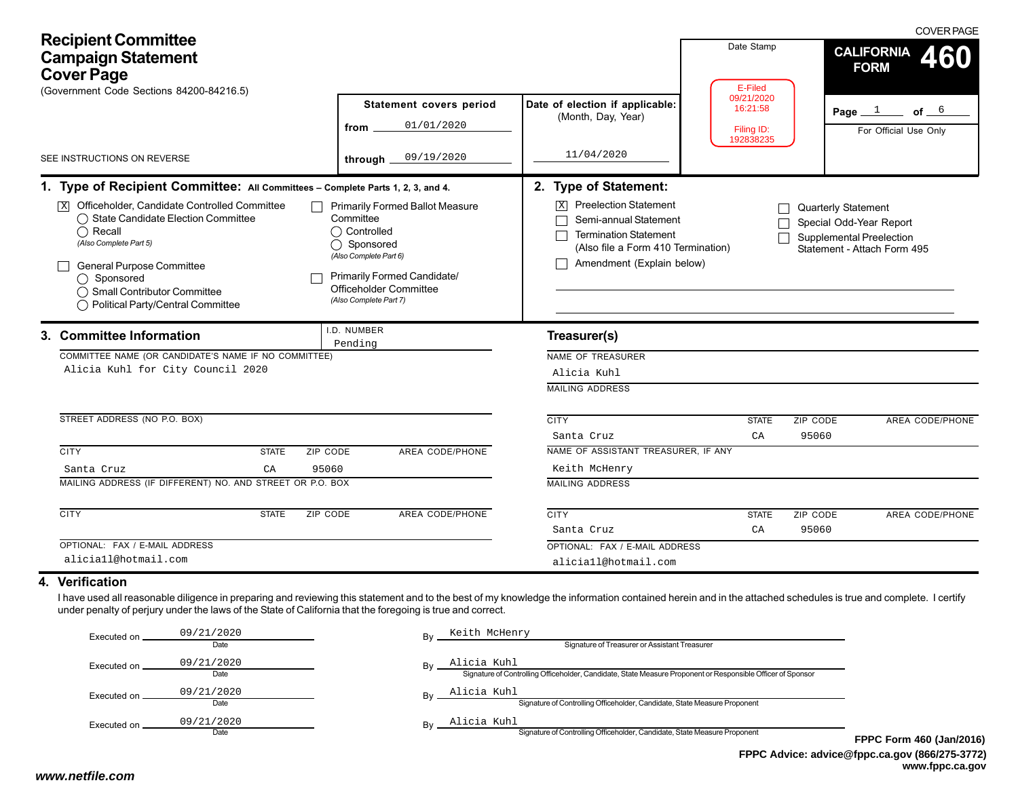| <b>Recipient Committee</b><br><b>Campaign Statement</b><br><b>Cover Page</b><br>(Government Code Sections 84200-84216.5)                                                                                                                                                                                                                                                                                                                                                                                                                                                                                                                                                                                                       |                                                                                                                                                                                                                                                                                                                                                                                                       |                                                                                | Date Stamp<br>E-Filed                             | <b>COVER PAGE</b><br><b>CALIFORNIA</b><br>460<br><b>FORM</b> |  |
|--------------------------------------------------------------------------------------------------------------------------------------------------------------------------------------------------------------------------------------------------------------------------------------------------------------------------------------------------------------------------------------------------------------------------------------------------------------------------------------------------------------------------------------------------------------------------------------------------------------------------------------------------------------------------------------------------------------------------------|-------------------------------------------------------------------------------------------------------------------------------------------------------------------------------------------------------------------------------------------------------------------------------------------------------------------------------------------------------------------------------------------------------|--------------------------------------------------------------------------------|---------------------------------------------------|--------------------------------------------------------------|--|
|                                                                                                                                                                                                                                                                                                                                                                                                                                                                                                                                                                                                                                                                                                                                | <b>Statement covers period</b><br>01/01/2020<br>from                                                                                                                                                                                                                                                                                                                                                  | Date of election if applicable:<br>(Month, Day, Year)                          | 09/21/2020<br>16:21:58<br>Filing ID:<br>192838235 | Page $1$<br>of $ 6$<br>For Official Use Only                 |  |
| SEE INSTRUCTIONS ON REVERSE                                                                                                                                                                                                                                                                                                                                                                                                                                                                                                                                                                                                                                                                                                    | 09/19/2020<br>through                                                                                                                                                                                                                                                                                                                                                                                 | 11/04/2020                                                                     |                                                   |                                                              |  |
| 1. Type of Recipient Committee: All Committees - Complete Parts 1, 2, 3, and 4.<br>$\overline{\mathbb{X}}$ Officeholder, Candidate Controlled Committee<br><b>Primarily Formed Ballot Measure</b><br>◯ State Candidate Election Committee<br>Committee<br>$\bigcap$ Controlled<br>$\bigcap$ Recall<br>(Also Complete Part 5)<br>◯ Sponsored<br>(Also Complete Part 6)<br>General Purpose Committee<br>Primarily Formed Candidate/<br>◯ Sponsored<br>Officeholder Committee<br>◯ Small Contributor Committee<br>(Also Complete Part 7)<br>◯ Political Party/Central Committee<br>.D. NUMBER<br>3. Committee Information<br>Pending<br>COMMITTEE NAME (OR CANDIDATE'S NAME IF NO COMMITTEE)<br>Alicia Kuhl for City Council 2020 | 2. Type of Statement:<br><b>Preelection Statement</b><br>$\overline{X}$<br><b>Quarterly Statement</b><br>Semi-annual Statement<br>Special Odd-Year Report<br><b>Termination Statement</b><br>Supplemental Preelection<br>(Also file a Form 410 Termination)<br>Statement - Attach Form 495<br>Amendment (Explain below)<br>Treasurer(s)<br>NAME OF TREASURER<br>Alicia Kuhl<br><b>MAILING ADDRESS</b> |                                                                                |                                                   |                                                              |  |
| STREET ADDRESS (NO P.O. BOX)                                                                                                                                                                                                                                                                                                                                                                                                                                                                                                                                                                                                                                                                                                   |                                                                                                                                                                                                                                                                                                                                                                                                       | <b>CITY</b><br>Santa Cruz                                                      | <b>STATE</b><br>CA                                | ZIP CODE<br>AREA CODE/PHONE<br>95060                         |  |
| <b>CITY</b><br><b>STATE</b><br>ZIP CODE<br>95060<br>Santa Cruz<br>CA<br>MAILING ADDRESS (IF DIFFERENT) NO. AND STREET OR P.O. BOX                                                                                                                                                                                                                                                                                                                                                                                                                                                                                                                                                                                              | AREA CODE/PHONE                                                                                                                                                                                                                                                                                                                                                                                       | NAME OF ASSISTANT TREASURER. IF ANY<br>Keith McHenry<br><b>MAILING ADDRESS</b> |                                                   |                                                              |  |
| <b>CITY</b><br><b>STATE</b><br>ZIP CODE                                                                                                                                                                                                                                                                                                                                                                                                                                                                                                                                                                                                                                                                                        | <b>AREA CODE/PHONE</b>                                                                                                                                                                                                                                                                                                                                                                                | <b>CITY</b><br>Santa Cruz                                                      | <b>STATE</b><br>CA                                | ZIP CODE<br>AREA CODE/PHONE<br>95060                         |  |
| OPTIONAL: FAX / E-MAIL ADDRESS<br>aliciall@hotmail.com                                                                                                                                                                                                                                                                                                                                                                                                                                                                                                                                                                                                                                                                         |                                                                                                                                                                                                                                                                                                                                                                                                       | OPTIONAL: FAX / E-MAIL ADDRESS<br>aliciall@hotmail.com                         |                                                   |                                                              |  |
| 4. Verification<br>I have used all reasonable diligence in preparing and reviewing this statement and to the best of my knowledge the information contained herein and in the attached schedules is true and complete. I certify<br>under penalty of perjury under the laws of the State of California that the foregoing is true and correct.                                                                                                                                                                                                                                                                                                                                                                                 |                                                                                                                                                                                                                                                                                                                                                                                                       |                                                                                |                                                   |                                                              |  |

| Executed on | 09/21/2020<br>Date | Bv        | Keith McHenry<br>Signature of Treasurer or Assistant Treasurer                                                             |             |
|-------------|--------------------|-----------|----------------------------------------------------------------------------------------------------------------------------|-------------|
| Executed on | 09/21/2020<br>Date | Bv        | Alicia Kuhl<br>Signature of Controlling Officeholder, Candidate, State Measure Proponent or Responsible Officer of Sponsor |             |
| Executed on | 09/21/2020<br>Date | <b>Bv</b> | Alicia Kuhl<br>Signature of Controlling Officeholder, Candidate, State Measure Proponent                                   |             |
| Executed on | 09/21/2020<br>Date | Bv        | Alicia Kuhl<br>Signature of Controlling Officeholder, Candidate, State Measure Proponent                                   | <b>FPPC</b> |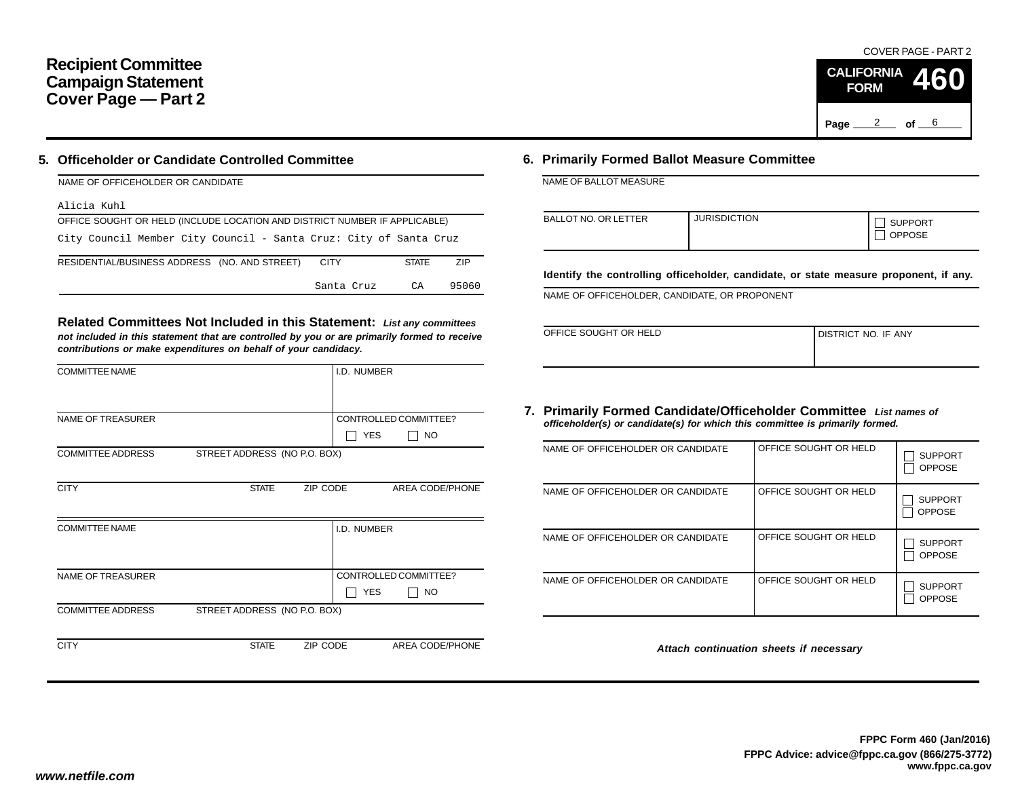# **Recipient Committee Campaign Statement Cover Page — Part 2**

## **5. Officeholder or Candidate Controlled Committee**

| NAME OF OFFICEHOLDER OR CANDIDATE                                          |              |            |
|----------------------------------------------------------------------------|--------------|------------|
| Alicia Kuhl                                                                |              |            |
| OFFICE SOUGHT OR HELD (INCLUDE LOCATION AND DISTRICT NUMBER IF APPLICABLE) |              |            |
| City Council Member City Council - Santa Cruz: City of Santa Cruz          |              |            |
| RESIDENTIAL/BUSINESS ADDRESS (NO. AND STREET)<br><b>CITY</b>               | <b>STATE</b> | <b>ZIP</b> |
| Santa Cruz                                                                 | CA           | 95060      |

**Related Committees Not Included in this Statement:** *List any committees not included in this statement that are controlled by you or are primarily formed to receive contributions or make expenditures on behalf of your candidacy.*

| <b>COMMITTEE NAME</b>    |                              |          | I.D. NUMBER |                       |
|--------------------------|------------------------------|----------|-------------|-----------------------|
|                          |                              |          |             |                       |
| <b>NAME OF TREASURER</b> |                              |          |             | CONTROLLED COMMITTEE? |
|                          |                              |          | <b>YES</b>  | <b>NO</b>             |
| <b>COMMITTEE ADDRESS</b> | STREET ADDRESS (NO P.O. BOX) |          |             |                       |
|                          |                              |          |             |                       |
| <b>CITY</b>              | <b>STATE</b>                 | ZIP CODE |             | AREA CODE/PHONE       |
|                          |                              |          |             |                       |
| <b>COMMITTEE NAME</b>    |                              |          | I.D. NUMBER |                       |
|                          |                              |          |             |                       |
|                          |                              |          |             |                       |
| <b>NAME OF TREASURER</b> |                              |          |             | CONTROLLED COMMITTEE? |
|                          |                              |          | <b>YES</b>  | NO.                   |
| <b>COMMITTEE ADDRESS</b> | STREET ADDRESS (NO P.O. BOX) |          |             |                       |
|                          |                              |          |             |                       |
| <b>CITY</b>              | <b>STATE</b>                 | ZIP CODE |             | AREA CODE/PHONE       |

### **6. Primarily Formed Ballot Measure Committee**

NAME OF BALLOT MEASURE

| <b>BALLOT NO. OR LETTER</b> | <b>JURISDICTION</b> | <b>SUPPORT</b><br><b>OPPOSE</b> |
|-----------------------------|---------------------|---------------------------------|
|-----------------------------|---------------------|---------------------------------|

**Identify the controlling officeholder, candidate, or state measure proponent, if any.**

NAME OF OFFICEHOLDER, CANDIDATE, OR PROPONENT

| OFFICE SOUGHT OR HELD | <b>I DISTRICT NO. IF ANY</b> |
|-----------------------|------------------------------|
|                       |                              |

#### **7. Primarily Formed Candidate/Officeholder Committee** *List names of officeholder(s) or candidate(s) for which this committee is primarily formed.*

| NAME OF OFFICEHOLDER OR CANDIDATE | OFFICE SOUGHT OR HELD | <b>SUPPORT</b><br><b>OPPOSE</b> |
|-----------------------------------|-----------------------|---------------------------------|
| NAME OF OFFICEHOLDER OR CANDIDATE | OFFICE SOUGHT OR HELD | <b>SUPPORT</b><br><b>OPPOSE</b> |
| NAME OF OFFICEHOLDER OR CANDIDATE | OFFICE SOUGHT OR HELD | <b>SUPPORT</b><br><b>OPPOSE</b> |
| NAME OF OFFICEHOLDER OR CANDIDATE | OFFICE SOUGHT OR HELD | <b>SUPPORT</b><br><b>OPPOSE</b> |

*Attach continuation sheets if necessary*

Page <u>2</u> of 6

**CALIFORNIA FORM**

COVER PAGE - PART 2

**460**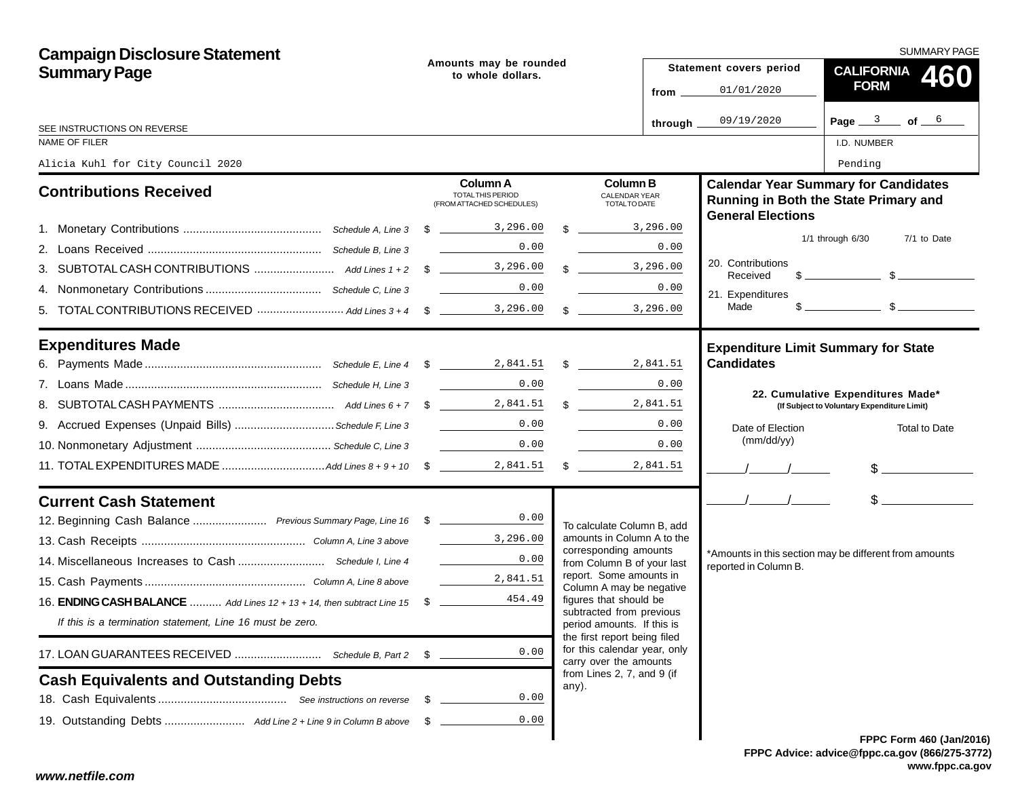| <b>Campaign Disclosure Statement</b>                                              |                                             |                                                                                                                                                                                                                                                                                                                                                                                                                                                   |  |                                                                                   | SUMMARY PAGE |                               |                                                                                                                                                                                                                                                                                                                     |  |
|-----------------------------------------------------------------------------------|---------------------------------------------|---------------------------------------------------------------------------------------------------------------------------------------------------------------------------------------------------------------------------------------------------------------------------------------------------------------------------------------------------------------------------------------------------------------------------------------------------|--|-----------------------------------------------------------------------------------|--------------|-------------------------------|---------------------------------------------------------------------------------------------------------------------------------------------------------------------------------------------------------------------------------------------------------------------------------------------------------------------|--|
| <b>Summary Page</b>                                                               | Amounts may be rounded<br>to whole dollars. |                                                                                                                                                                                                                                                                                                                                                                                                                                                   |  |                                                                                   |              | Statement covers period       | CALIFORNIA 460                                                                                                                                                                                                                                                                                                      |  |
|                                                                                   |                                             |                                                                                                                                                                                                                                                                                                                                                                                                                                                   |  |                                                                                   | from _       | 01/01/2020                    | <b>FORM</b>                                                                                                                                                                                                                                                                                                         |  |
| SEE INSTRUCTIONS ON REVERSE                                                       |                                             |                                                                                                                                                                                                                                                                                                                                                                                                                                                   |  |                                                                                   | through _    | 09/19/2020                    | Page $3$ of $6$                                                                                                                                                                                                                                                                                                     |  |
| NAME OF FILER                                                                     |                                             |                                                                                                                                                                                                                                                                                                                                                                                                                                                   |  |                                                                                   |              |                               | I.D. NUMBER                                                                                                                                                                                                                                                                                                         |  |
| Alicia Kuhl for City Council 2020                                                 |                                             |                                                                                                                                                                                                                                                                                                                                                                                                                                                   |  |                                                                                   |              |                               | Pending                                                                                                                                                                                                                                                                                                             |  |
| <b>Contributions Received</b>                                                     |                                             | <b>Column A</b><br><b>TOTAL THIS PERIOD</b><br>(FROM ATTACHED SCHEDULES)                                                                                                                                                                                                                                                                                                                                                                          |  | <b>Column B</b><br><b>CALENDAR YEAR</b><br>TOTAL TO DATE                          |              | <b>General Elections</b>      | <b>Calendar Year Summary for Candidates</b><br>Running in Both the State Primary and                                                                                                                                                                                                                                |  |
|                                                                                   |                                             |                                                                                                                                                                                                                                                                                                                                                                                                                                                   |  | $\frac{1}{2}$ 3,296.00                                                            |              |                               |                                                                                                                                                                                                                                                                                                                     |  |
|                                                                                   |                                             | 0.00                                                                                                                                                                                                                                                                                                                                                                                                                                              |  |                                                                                   | 0.00         |                               | $1/1$ through $6/30$<br>7/1 to Date                                                                                                                                                                                                                                                                                 |  |
|                                                                                   |                                             |                                                                                                                                                                                                                                                                                                                                                                                                                                                   |  | $\frac{3,296.00}{\ }$                                                             |              | 20. Contributions<br>Received | $\frac{1}{2}$ $\frac{1}{2}$ $\frac{1}{2}$ $\frac{1}{2}$ $\frac{1}{2}$ $\frac{1}{2}$ $\frac{1}{2}$ $\frac{1}{2}$ $\frac{1}{2}$ $\frac{1}{2}$ $\frac{1}{2}$ $\frac{1}{2}$ $\frac{1}{2}$ $\frac{1}{2}$ $\frac{1}{2}$ $\frac{1}{2}$ $\frac{1}{2}$ $\frac{1}{2}$ $\frac{1}{2}$ $\frac{1}{2}$ $\frac{1}{2}$ $\frac{1}{2}$ |  |
|                                                                                   |                                             | 0.00                                                                                                                                                                                                                                                                                                                                                                                                                                              |  |                                                                                   | 0.00         | 21. Expenditures              |                                                                                                                                                                                                                                                                                                                     |  |
| 5. TOTAL CONTRIBUTIONS RECEIVED  Add Lines 3+4 \$                                 |                                             |                                                                                                                                                                                                                                                                                                                                                                                                                                                   |  | $\frac{1}{2}$ 3,296.00                                                            |              | Made                          | $s$ section $s$                                                                                                                                                                                                                                                                                                     |  |
| <b>Expenditures Made</b>                                                          |                                             |                                                                                                                                                                                                                                                                                                                                                                                                                                                   |  |                                                                                   |              |                               | <b>Expenditure Limit Summary for State</b>                                                                                                                                                                                                                                                                          |  |
|                                                                                   |                                             |                                                                                                                                                                                                                                                                                                                                                                                                                                                   |  |                                                                                   |              | <b>Candidates</b>             |                                                                                                                                                                                                                                                                                                                     |  |
|                                                                                   |                                             | 0.00                                                                                                                                                                                                                                                                                                                                                                                                                                              |  |                                                                                   | 0.00         |                               | 22. Cumulative Expenditures Made*                                                                                                                                                                                                                                                                                   |  |
|                                                                                   |                                             |                                                                                                                                                                                                                                                                                                                                                                                                                                                   |  | \$2,841.51                                                                        |              |                               | (If Subject to Voluntary Expenditure Limit)                                                                                                                                                                                                                                                                         |  |
| 9. Accrued Expenses (Unpaid Bills)  Schedule F, Line 3                            |                                             |                                                                                                                                                                                                                                                                                                                                                                                                                                                   |  |                                                                                   | 0.00         | Date of Election              | <b>Total to Date</b>                                                                                                                                                                                                                                                                                                |  |
|                                                                                   |                                             | 0.00<br>$\label{eq:2} \begin{split} \frac{1}{\sqrt{2\pi}}\left(\frac{1}{\sqrt{2\pi}}\right)^{1/2}\left(\frac{1}{\sqrt{2\pi}}\right)^{1/2}\left(\frac{1}{\sqrt{2\pi}}\right)^{1/2}\left(\frac{1}{\sqrt{2\pi}}\right)^{1/2}\left(\frac{1}{\sqrt{2\pi}}\right)^{1/2}\left(\frac{1}{\sqrt{2\pi}}\right)^{1/2}\left(\frac{1}{\sqrt{2\pi}}\right)^{1/2}\left(\frac{1}{\sqrt{2\pi}}\right)^{1/2}\left(\frac{1}{\sqrt{2\pi}}\right)^{1/2}\left(\frac{1}{$ |  |                                                                                   | 0.00         | (mm/dd/yy)                    |                                                                                                                                                                                                                                                                                                                     |  |
|                                                                                   |                                             |                                                                                                                                                                                                                                                                                                                                                                                                                                                   |  |                                                                                   |              | $\frac{1}{\sqrt{2}}$          | $\frac{1}{2}$                                                                                                                                                                                                                                                                                                       |  |
| <b>Current Cash Statement</b>                                                     |                                             |                                                                                                                                                                                                                                                                                                                                                                                                                                                   |  |                                                                                   |              | $\frac{1}{2}$                 | $\frac{1}{2}$                                                                                                                                                                                                                                                                                                       |  |
| 12. Beginning Cash Balance  Previous Summary Page, Line 16 \$ _______________0.00 |                                             |                                                                                                                                                                                                                                                                                                                                                                                                                                                   |  | To calculate Column B, add                                                        |              |                               |                                                                                                                                                                                                                                                                                                                     |  |
|                                                                                   |                                             | $\frac{3}{2}$ , 296.00                                                                                                                                                                                                                                                                                                                                                                                                                            |  | amounts in Column A to the<br>corresponding amounts                               |              |                               |                                                                                                                                                                                                                                                                                                                     |  |
|                                                                                   |                                             | 0.00                                                                                                                                                                                                                                                                                                                                                                                                                                              |  | from Column B of your last<br>report. Some amounts in<br>Column A may be negative |              | reported in Column B.         | *Amounts in this section may be different from amounts                                                                                                                                                                                                                                                              |  |
|                                                                                   |                                             | 2,841.51                                                                                                                                                                                                                                                                                                                                                                                                                                          |  |                                                                                   |              |                               |                                                                                                                                                                                                                                                                                                                     |  |
| 16. ENDING CASH BALANCE  Add Lines 12 + 13 + 14, then subtract Line 15 \$         |                                             | 454.49                                                                                                                                                                                                                                                                                                                                                                                                                                            |  | figures that should be<br>subtracted from previous                                |              |                               |                                                                                                                                                                                                                                                                                                                     |  |
| If this is a termination statement, Line 16 must be zero.                         |                                             |                                                                                                                                                                                                                                                                                                                                                                                                                                                   |  | period amounts. If this is<br>the first report being filed                        |              |                               |                                                                                                                                                                                                                                                                                                                     |  |
|                                                                                   | \$                                          | 0.00                                                                                                                                                                                                                                                                                                                                                                                                                                              |  | for this calendar year, only<br>carry over the amounts                            |              |                               |                                                                                                                                                                                                                                                                                                                     |  |
| <b>Cash Equivalents and Outstanding Debts</b>                                     |                                             |                                                                                                                                                                                                                                                                                                                                                                                                                                                   |  | from Lines 2, 7, and 9 (if<br>any).                                               |              |                               |                                                                                                                                                                                                                                                                                                                     |  |
|                                                                                   | - \$                                        | 0.00                                                                                                                                                                                                                                                                                                                                                                                                                                              |  |                                                                                   |              |                               |                                                                                                                                                                                                                                                                                                                     |  |
|                                                                                   | - \$                                        | 0.00                                                                                                                                                                                                                                                                                                                                                                                                                                              |  |                                                                                   |              |                               |                                                                                                                                                                                                                                                                                                                     |  |
|                                                                                   |                                             |                                                                                                                                                                                                                                                                                                                                                                                                                                                   |  |                                                                                   |              |                               | <b>FPPC Form 460 (Jan/201)</b>                                                                                                                                                                                                                                                                                      |  |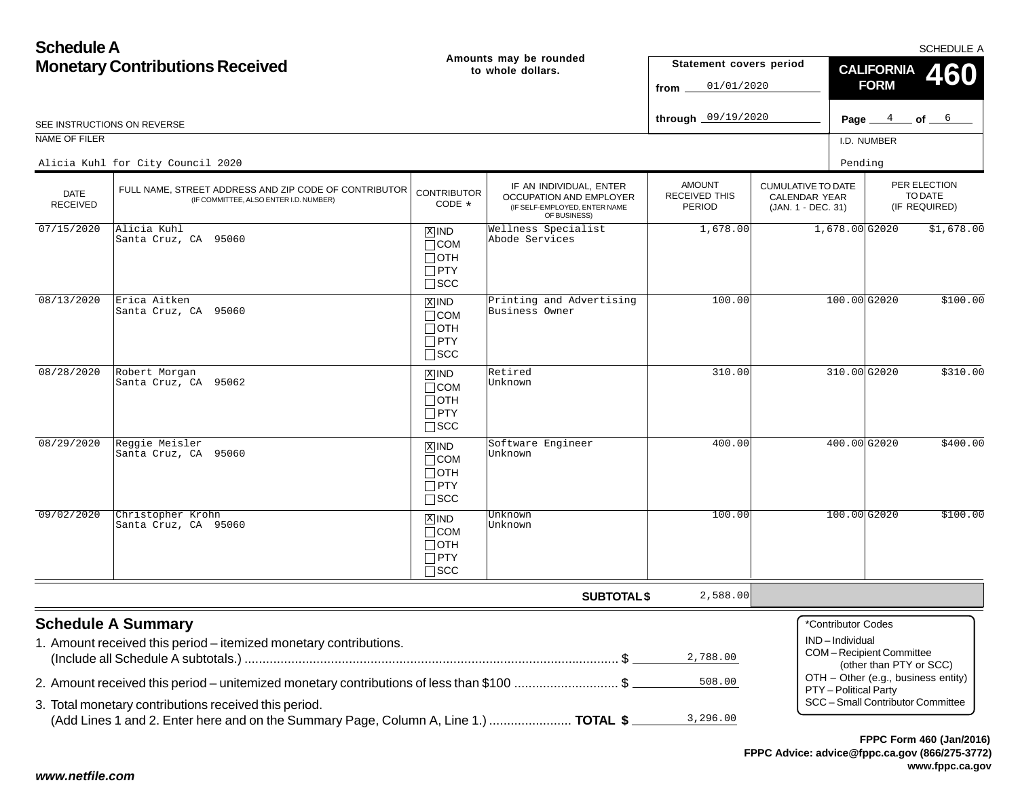| <b>Schedule A</b>                      |                                                                                                                                                   |                                                                    |                                                                                                     |                                                 |                                                                  |                                      |                                                           | <b>SCHEDULE A</b>                                                        |
|----------------------------------------|---------------------------------------------------------------------------------------------------------------------------------------------------|--------------------------------------------------------------------|-----------------------------------------------------------------------------------------------------|-------------------------------------------------|------------------------------------------------------------------|--------------------------------------|-----------------------------------------------------------|--------------------------------------------------------------------------|
| <b>Monetary Contributions Received</b> |                                                                                                                                                   |                                                                    | Amounts may be rounded<br>to whole dollars.                                                         | Statement covers period<br>01/01/2020<br>from   |                                                                  |                                      | <b>CALIFORNIA</b><br><b>FORM</b>                          | <b>460</b>                                                               |
|                                        | SEE INSTRUCTIONS ON REVERSE                                                                                                                       |                                                                    |                                                                                                     | through 09/19/2020                              |                                                                  |                                      |                                                           | Page $4$ of $6$                                                          |
| NAME OF FILER                          |                                                                                                                                                   |                                                                    |                                                                                                     |                                                 |                                                                  | I.D. NUMBER                          |                                                           |                                                                          |
|                                        | Alicia Kuhl for City Council 2020                                                                                                                 |                                                                    |                                                                                                     |                                                 |                                                                  | Pending                              |                                                           |                                                                          |
| <b>DATE</b><br><b>RECEIVED</b>         | FULL NAME, STREET ADDRESS AND ZIP CODE OF CONTRIBUTOR<br>(IF COMMITTEE, ALSO ENTER I.D. NUMBER)                                                   | <b>CONTRIBUTOR</b><br>CODE *                                       | IF AN INDIVIDUAL, ENTER<br>OCCUPATION AND EMPLOYER<br>(IF SELF-EMPLOYED, ENTER NAME<br>OF BUSINESS) | <b>AMOUNT</b><br><b>RECEIVED THIS</b><br>PERIOD | <b>CUMULATIVE TO DATE</b><br>CALENDAR YEAR<br>(JAN. 1 - DEC. 31) |                                      |                                                           | PER ELECTION<br>TO DATE<br>(IF REQUIRED)                                 |
| 07/15/2020                             | Alicia Kuhl<br>Santa Cruz, CA 95060                                                                                                               | $X$ IND<br>$\Box$ COM<br>$\Box$ OTH<br>$\Box$ PTY<br>$\square$ SCC | Wellness Specialist<br>Abode Services                                                               | 1,678.00                                        |                                                                  | 1,678.00G2020                        |                                                           | \$1,678.00                                                               |
| 08/13/2020                             | Erica Aitken<br>Santa Cruz, CA 95060                                                                                                              | $X$ IND<br>$\Box$ COM<br>$\Box$ OTH<br>$\Box$ PTY<br>$\square$ SCC | Printing and Advertising<br>Business Owner                                                          | 100.00                                          |                                                                  | 100.00 G2020                         |                                                           | \$100.00                                                                 |
| 08/28/2020                             | Robert Morgan<br>Santa Cruz, CA 95062                                                                                                             | $X$ IND<br>$\Box$ COM<br>$\Box$ OTH<br>$\Box$ PTY<br>$\square$ SCC | Retired<br>Unknown                                                                                  | 310.00                                          |                                                                  | 310.00 G2020                         |                                                           | \$310.00                                                                 |
| 08/29/2020                             | Reggie Meisler<br>Santa Cruz, CA 95060                                                                                                            | $X$ IND<br>$\Box$ COM<br>$\Box$ OTH<br>$\Box$ PTY<br>$\square$ SCC | Software Engineer<br>Unknown                                                                        | 400.00                                          |                                                                  | 400.00G2020                          |                                                           | \$400.00                                                                 |
| 09/02/2020                             | Christopher Krohn<br>Santa Cruz, CA 95060                                                                                                         | $X$ IND<br>$\Box$ COM<br>$\Box$ OTH<br>$\Box$ PTY<br>$\square$ SCC | Unknown<br>Unknown                                                                                  | 100.00                                          |                                                                  | 100.00 G2020                         |                                                           | \$100.00                                                                 |
|                                        |                                                                                                                                                   |                                                                    | <b>SUBTOTAL \$</b>                                                                                  | 2,588.00                                        |                                                                  |                                      |                                                           |                                                                          |
|                                        | <b>Schedule A Summary</b><br>1. Amount received this period - itemized monetary contributions.                                                    |                                                                    |                                                                                                     | 2,788.00                                        |                                                                  | *Contributor Codes<br>IND-Individual | <b>COM-Recipient Committee</b><br>(other than PTY or SCC) |                                                                          |
|                                        | 2. Amount received this period – unitemized monetary contributions of less than \$100 \$<br>3. Total monetary contributions received this period. |                                                                    |                                                                                                     | 508.00<br>3,296.00                              |                                                                  | PTY - Political Party                |                                                           | OTH - Other (e.g., business entity)<br>SCC - Small Contributor Committee |
|                                        | (Add Lines 1 and 2. Enter here and on the Summary Page, Column A, Line 1.)  TOTAL \$                                                              |                                                                    |                                                                                                     |                                                 |                                                                  |                                      |                                                           |                                                                          |

**FPPC Advice: advice@fppc.ca.gov (866/275-3772) www.fppc.ca.gov FPPC Form 460 (Jan/2016)**

### *www.netfile.com*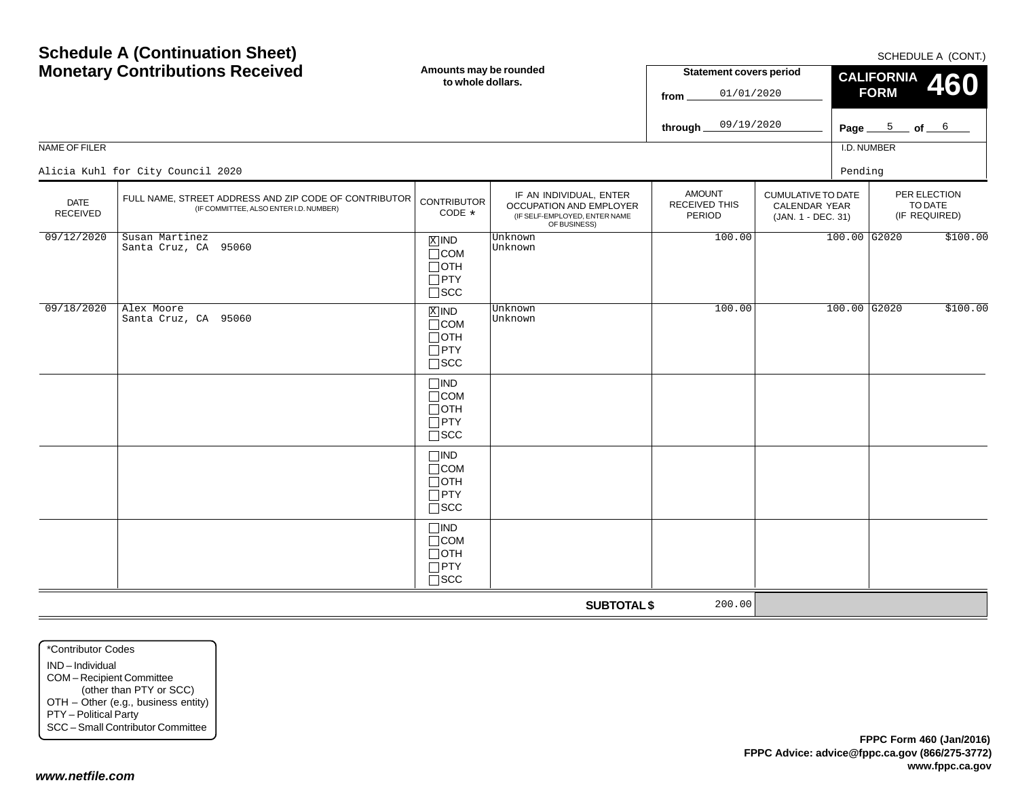SCHEDULE A (CONT)

|                         | <b>Monetary Contributions Received</b>                                                          | Amounts may be rounded<br>to whole dollars.                                   |                                                                                                     | <b>Statement covers period</b><br>01/01/2020<br>from<br>09/19/2020<br>through_ |                                                           |              | CALIFORNIA 460<br><b>FORM</b><br>Page $5$ of $6$ |          |
|-------------------------|-------------------------------------------------------------------------------------------------|-------------------------------------------------------------------------------|-----------------------------------------------------------------------------------------------------|--------------------------------------------------------------------------------|-----------------------------------------------------------|--------------|--------------------------------------------------|----------|
| <b>NAME OF FILER</b>    |                                                                                                 |                                                                               |                                                                                                     |                                                                                |                                                           | I.D. NUMBER  |                                                  |          |
|                         | Alicia Kuhl for City Council 2020                                                               |                                                                               |                                                                                                     |                                                                                |                                                           | Pending      |                                                  |          |
| <b>DATE</b><br>RECEIVED | FULL NAME, STREET ADDRESS AND ZIP CODE OF CONTRIBUTOR<br>(IF COMMITTEE, ALSO ENTER I.D. NUMBER) | <b>CONTRIBUTOR</b><br>CODE *                                                  | IF AN INDIVIDUAL, ENTER<br>OCCUPATION AND EMPLOYER<br>(IF SELF-EMPLOYED, ENTER NAME<br>OF BUSINESS) | <b>AMOUNT</b><br>RECEIVED THIS<br>PERIOD                                       | CUMULATIVE TO DATE<br>CALENDAR YEAR<br>(JAN. 1 - DEC. 31) |              | PER ELECTION<br>TO DATE<br>(IF REQUIRED)         |          |
| 09/12/2020              | Susan Martinez<br>Santa Cruz, CA 95060                                                          | $X$ IND<br>$\Box$ COM<br>$\Box$ OTH<br>$\square$ PTY<br>$\square$ SCC         | Unknown<br>Unknown                                                                                  | 100.00                                                                         |                                                           | 100.00 G2020 |                                                  | \$100.00 |
| 09/18/2020              | Alex Moore<br>Santa Cruz, CA 95060                                                              | $\overline{X}$ IND<br>$\Box$ COM<br>$\Box$ OTH<br>$\Box$ PTY<br>$\square$ SCC | Unknown<br>Unknown                                                                                  | 100.00                                                                         |                                                           | 100.00 G2020 |                                                  | \$100.00 |
|                         |                                                                                                 | $\Box$ IND<br>$\Box$ COM<br>$\Box$ OTH<br>$\Box$ PTY<br>$\square$ SCC         |                                                                                                     |                                                                                |                                                           |              |                                                  |          |
|                         |                                                                                                 | $\square$ IND<br>$\Box$ COM<br>$\sqcap$ OTH<br>$\Box$ PTY<br>$\sqcap$ scc     |                                                                                                     |                                                                                |                                                           |              |                                                  |          |
|                         |                                                                                                 | $\Box$ IND<br>$\Box$ COM<br>$\Box$ OTH<br>$\Box$ PTY<br>$\Box$ scc            |                                                                                                     |                                                                                |                                                           |              |                                                  |          |
|                         |                                                                                                 |                                                                               | <b>SUBTOTAL \$</b>                                                                                  | 200.00                                                                         |                                                           |              |                                                  |          |

\*Contributor CodesIND – Individual COM – Recipient Committee (other than PTY or SCC) OTH – Other (e.g., business entity) PTY – Political Party SCC – Small Contributor Committee

**Schedule A (Continuation Sheet)**